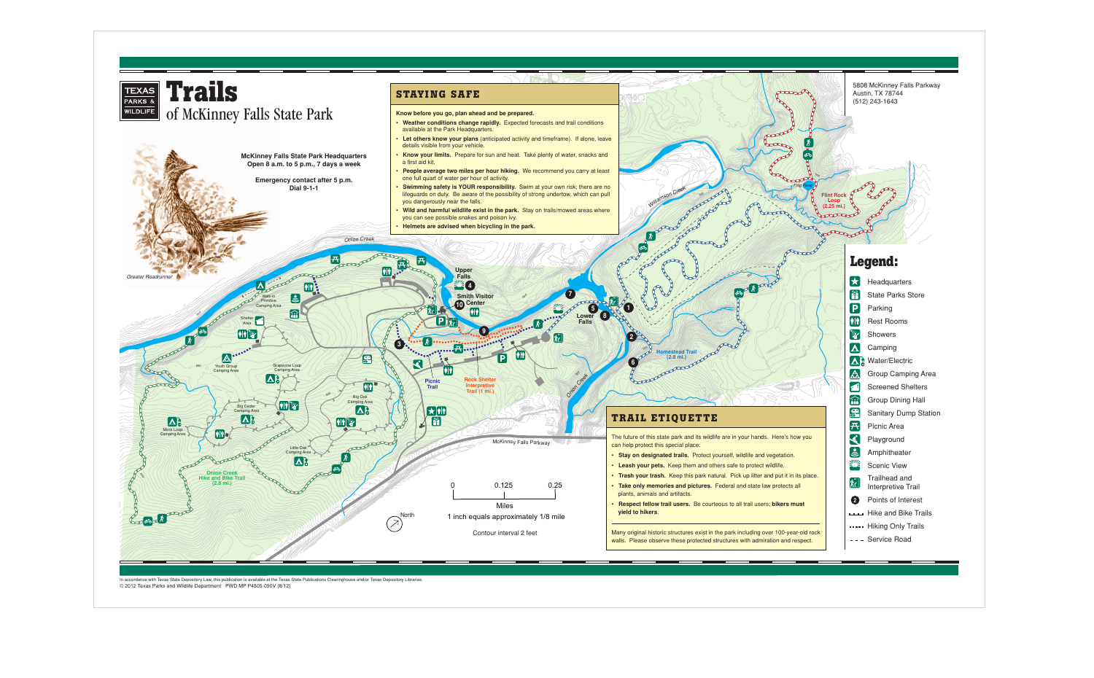## **Legend:**

- $H$  Headquarters
	- State Parks Store
	- Parking
	- Rest Rooms
	- Showers
	- Camping
- **A** Water/Electric
	- Group Camping Area
	- Screened Shelters
	- Group Dining Hall
	- Sanitary Dump Station
	- Picnic Area
	- Playground
	- Amphitheater
	- Scenic View
- Trailhead and Interpretive Trail
- Points of Interest
- **Hike and Bike Trails**
- ..... Hiking Only Trails
- --- Service Road

## 5808 McKinney Falls Parkway Austin, TX 78744 (512) 243-1643



In accordance with Texas State Depository Law, this publication is available at the Texas State Publications Clearinghouse and/or Texas Depository Libraries. © 2012 Texas Parks and Wildlife Department PWD MP P4505-090V (8/12)

- 
- 
- 
-